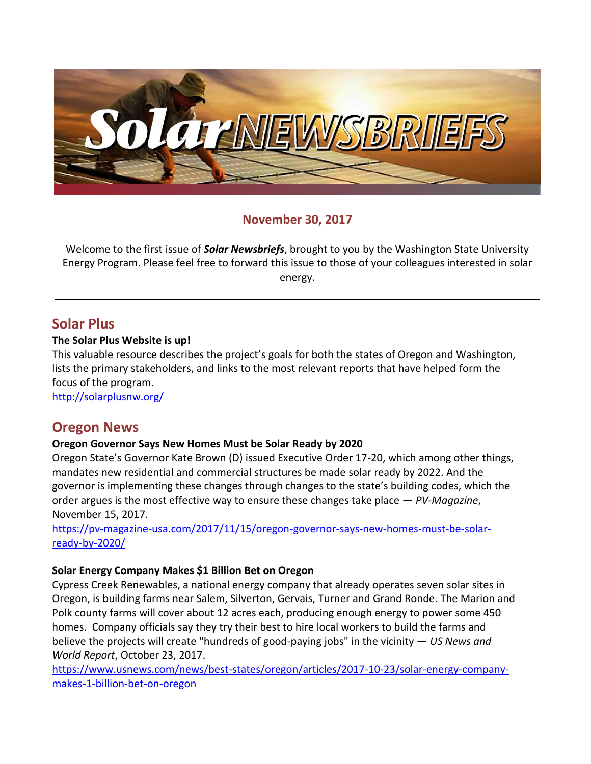

### **November 30, 2017**

Welcome to the first issue of *Solar Newsbriefs*, brought to you by the Washington State University Energy Program. Please feel free to forward this issue to those of your colleagues interested in solar energy.

## **Solar Plus**

#### **The Solar Plus Website is up!**

This valuable resource describes the project's goals for both the states of Oregon and Washington, lists the primary stakeholders, and links to the most relevant reports that have helped form the focus of the program.

<http://solarplusnw.org/>

### **Oregon News**

#### **Oregon Governor Says New Homes Must be Solar Ready by 2020**

Oregon State's Governor Kate Brown (D) issued Executive Order 17-20, which among other things, mandates new residential and commercial structures be made solar ready by 2022. And the governor is implementing these changes through changes to the state's building codes, which the order argues is the most effective way to ensure these changes take place — *PV-Magazine*, November 15, 2017.

[https://pv-magazine-usa.com/2017/11/15/oregon-governor-says-new-homes-must-be-solar](https://pv-magazine-usa.com/2017/11/15/oregon-governor-says-new-homes-must-be-solar-ready-by-2020/)[ready-by-2020/](https://pv-magazine-usa.com/2017/11/15/oregon-governor-says-new-homes-must-be-solar-ready-by-2020/)

#### **Solar Energy Company Makes \$1 Billion Bet on Oregon**

Cypress Creek Renewables, a national energy company that already operates seven solar sites in Oregon, is building farms near Salem, Silverton, Gervais, Turner and Grand Ronde. The Marion and Polk county farms will cover about 12 acres each, producing enough energy to power some 450 homes. Company officials say they try their best to hire local workers to build the farms and believe the projects will create "hundreds of good-paying jobs" in the vicinity — *US News and World Report*, October 23, 2017.

[https://www.usnews.com/news/best-states/oregon/articles/2017-10-23/solar-energy-company](https://www.usnews.com/news/best-states/oregon/articles/2017-10-23/solar-energy-company-makes-1-billion-bet-on-oregon)[makes-1-billion-bet-on-oregon](https://www.usnews.com/news/best-states/oregon/articles/2017-10-23/solar-energy-company-makes-1-billion-bet-on-oregon)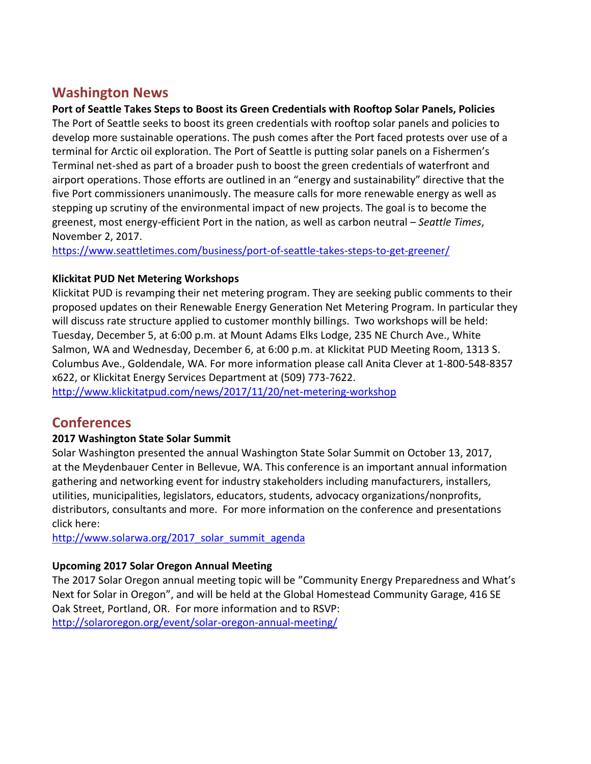# **Washington News**

**Port of Seattle Takes Steps to Boost its Green Credentials with Rooftop Solar Panels, Policies**  The Port of Seattle seeks to boost its green credentials with rooftop solar panels and policies to develop more sustainable operations. The push comes after the Port faced protests over use of a terminal for Arctic oil exploration. The Port of Seattle is putting solar panels on a Fishermen's Terminal net-shed as part of a broader push to boost the green credentials of waterfront and airport operations. Those efforts are outlined in an "energy and sustainability" directive that the five Port commissioners unanimously. The measure calls for more renewable energy as well as stepping up scrutiny of the environmental impact of new projects. The goal is to become the greenest, most energy-efficient Port in the nation, as well as carbon neutral – *Seattle Times*, November 2, 2017.

<https://www.seattletimes.com/business/port-of-seattle-takes-steps-to-get-greener/>

#### **Klickitat PUD Net Metering Workshops**

Klickitat PUD is revamping their net metering program. They are seeking public comments to their proposed updates on their Renewable Energy Generation Net Metering Program. In particular they will discuss rate structure applied to customer monthly billings. Two workshops will be held: Tuesday, December 5, at 6:00 p.m. at Mount Adams Elks Lodge, 235 NE Church Ave., White Salmon, WA and Wednesday, December 6, at 6:00 p.m. at Klickitat PUD Meeting Room, 1313 S. Columbus Ave., Goldendale, WA. For more information please call Anita Clever at 1-800-548-8357 x622, or Klickitat Energy Services Department at (509) 773-7622.

<http://www.klickitatpud.com/news/2017/11/20/net-metering-workshop>

## **Conferences**

#### **2017 Washington State Solar Summit**

Solar Washington presented the annual Washington State Solar Summit on October 13, 2017, at the Meydenbauer Center in Bellevue, WA. This conference is an important annual information gathering and networking event for industry stakeholders including manufacturers, installers, utilities, municipalities, legislators, educators, students, advocacy organizations/nonprofits, distributors, consultants and more. For more information on the conference and presentations click here:

[http://www.solarwa.org/2017\\_solar\\_summit\\_agenda](http://www.solarwa.org/2017_solar_summit_agenda)

#### **Upcoming 2017 Solar Oregon Annual Meeting**

The 2017 Solar Oregon annual meeting topic will be "Community Energy Preparedness and What's Next for Solar in Oregon", and will be held at the Global Homestead Community Garage, 416 SE Oak Street, Portland, OR. For more information and to RSVP: <http://solaroregon.org/event/solar-oregon-annual-meeting/>